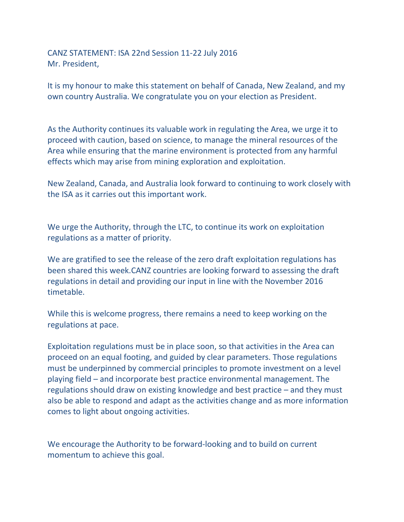CANZ STATEMENT: ISA 22nd Session 11-22 July 2016 Mr. President,

It is my honour to make this statement on behalf of Canada, New Zealand, and my own country Australia. We congratulate you on your election as President.

As the Authority continues its valuable work in regulating the Area, we urge it to proceed with caution, based on science, to manage the mineral resources of the Area while ensuring that the marine environment is protected from any harmful effects which may arise from mining exploration and exploitation.

New Zealand, Canada, and Australia look forward to continuing to work closely with the ISA as it carries out this important work.

We urge the Authority, through the LTC, to continue its work on exploitation regulations as a matter of priority.

We are gratified to see the release of the zero draft exploitation regulations has been shared this week.CANZ countries are looking forward to assessing the draft regulations in detail and providing our input in line with the November 2016 timetable.

While this is welcome progress, there remains a need to keep working on the regulations at pace.

Exploitation regulations must be in place soon, so that activities in the Area can proceed on an equal footing, and guided by clear parameters. Those regulations must be underpinned by commercial principles to promote investment on a level playing field – and incorporate best practice environmental management. The regulations should draw on existing knowledge and best practice – and they must also be able to respond and adapt as the activities change and as more information comes to light about ongoing activities.

We encourage the Authority to be forward-looking and to build on current momentum to achieve this goal.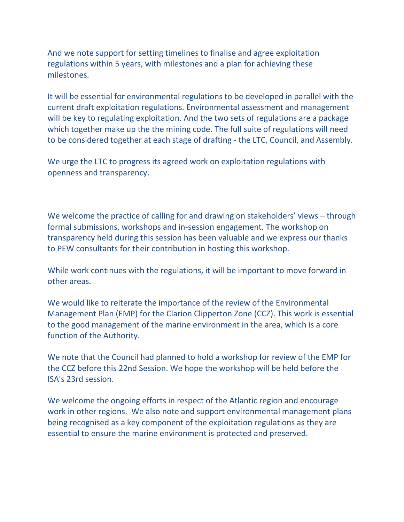And we note support for setting timelines to finalise and agree exploitation regulations within 5 years, with milestones and a plan for achieving these milestones.

It will be essential for environmental regulations to be developed in parallel with the current draft exploitation regulations. Environmental assessment and management will be key to regulating exploitation. And the two sets of regulations are a package which together make up the the mining code. The full suite of regulations will need to be considered together at each stage of drafting - the LTC, Council, and Assembly.

We urge the LTC to progress its agreed work on exploitation regulations with openness and transparency.

We welcome the practice of calling for and drawing on stakeholders' views  $-$  through formal submissions, workshops and in-session engagement. The workshop on transparency held during this session has been valuable and we express our thanks to PEW consultants for their contribution in hosting this workshop.

While work continues with the regulations, it will be important to move forward in other areas.

We would like to reiterate the importance of the review of the Environmental Management Plan (EMP) for the Clarion Clipperton Zone (CCZ). This work is essential to the good management of the marine environment in the area, which is a core function of the Authority.

We note that the Council had planned to hold a workshop for review of the EMP for the CCZ before this 22nd Session. We hope the workshop will be held before the ISA's 23rd session.

We welcome the ongoing efforts in respect of the Atlantic region and encourage work in other regions. We also note and support environmental management plans being recognised as a key component of the exploitation regulations as they are essential to ensure the marine environment is protected and preserved.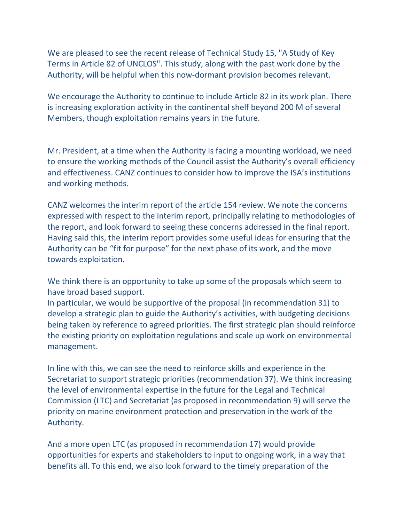We are pleased to see the recent release of Technical Study 15, "A Study of Key Terms in Article 82 of UNCLOS". This study, along with the past work done by the Authority, will be helpful when this now-dormant provision becomes relevant.

We encourage the Authority to continue to include Article 82 in its work plan. There is increasing exploration activity in the continental shelf beyond 200 M of several Members, though exploitation remains years in the future.

Mr. President, at a time when the Authority is facing a mounting workload, we need to ensure the working methods of the Council assist the Authority's overall efficiency and effectiveness. CANZ continues to consider how to improve the ISA's institutions and working methods.

CANZ welcomes the interim report of the article 154 review. We note the concerns expressed with respect to the interim report, principally relating to methodologies of the report, and look forward to seeing these concerns addressed in the final report. Having said this, the interim report provides some useful ideas for ensuring that the Authority can be "fit for purpose" for the next phase of its work, and the move towards exploitation.

We think there is an opportunity to take up some of the proposals which seem to have broad based support.

In particular, we would be supportive of the proposal (in recommendation 31) to develop a strategic plan to guide the Authority's activities, with budgeting decisions being taken by reference to agreed priorities. The first strategic plan should reinforce the existing priority on exploitation regulations and scale up work on environmental management.

In line with this, we can see the need to reinforce skills and experience in the Secretariat to support strategic priorities (recommendation 37). We think increasing the level of environmental expertise in the future for the Legal and Technical Commission (LTC) and Secretariat (as proposed in recommendation 9) will serve the priority on marine environment protection and preservation in the work of the Authority.

And a more open LTC (as proposed in recommendation 17) would provide opportunities for experts and stakeholders to input to ongoing work, in a way that benefits all. To this end, we also look forward to the timely preparation of the